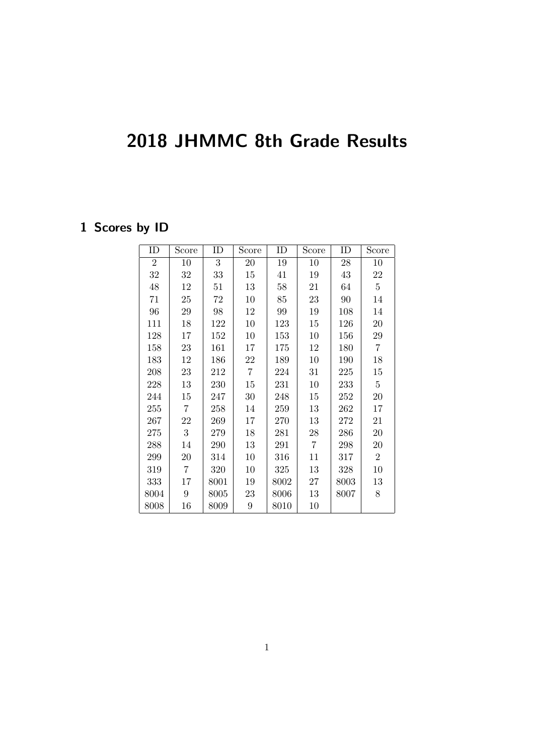## 2018 JHMMC 8th Grade Results

## 1 Scores by ID

| ID             | Score           | ID   | Score | ID     | Score             | ID   | Score           |
|----------------|-----------------|------|-------|--------|-------------------|------|-----------------|
| $\overline{2}$ | 10              | 3    | 20    | 19     | 10                | 28   | 10              |
| 32             | 32              | 33   | 15    | 41     | 19                | 43   | 22              |
| 48             | 12              | 51   | 13    | $58\,$ | 21                | 64   | $5\overline{)}$ |
| 71             | $25\,$          | 72   | 10    | 85     | $23\,$            | 90   | 14              |
| 96             | 29              | 98   | 12    | 99     | 19                | 108  | 14              |
| 111            | 18              | 122  | 10    | 123    | 15                | 126  | 20              |
| 128            | 17              | 152  | 10    | 153    | 10                | 156  | 29              |
| 158            | 23              | 161  | 17    | 175    | 12                | 180  | $\overline{7}$  |
| 183            | 12              | 186  | 22    | 189    | 10                | 190  | 18              |
| 208            | 23              | 212  | 7     | 224    | 31                | 225  | 15              |
| 228            | 13              | 230  | 15    | 231    | 10                | 233  | $5\overline{)}$ |
| 244            | 15              | 247  | 30    | 248    | 15                | 252  | $20\,$          |
| 255            | $\overline{7}$  | 258  | 14    | 259    | 13                | 262  | 17              |
| 267            | 22              | 269  | 17    | 270    | 13                | 272  | 21              |
| 275            | 3               | 279  | 18    | 281    | $\ensuremath{28}$ | 286  | 20              |
| 288            | 14              | 290  | 13    | 291    | $\overline{7}$    | 298  | 20              |
| 299            | 20              | 314  | 10    | 316    | 11                | 317  | $\overline{2}$  |
| 319            | 7               | 320  | 10    | 325    | 13                | 328  | 10              |
| 333            | 17              | 8001 | 19    | 8002   | $27\,$            | 8003 | 13              |
| 8004           | $9\phantom{.0}$ | 8005 | 23    | 8006   | 13                | 8007 | 8               |
| 8008           | 16              | 8009 | 9     | 8010   | 10                |      |                 |